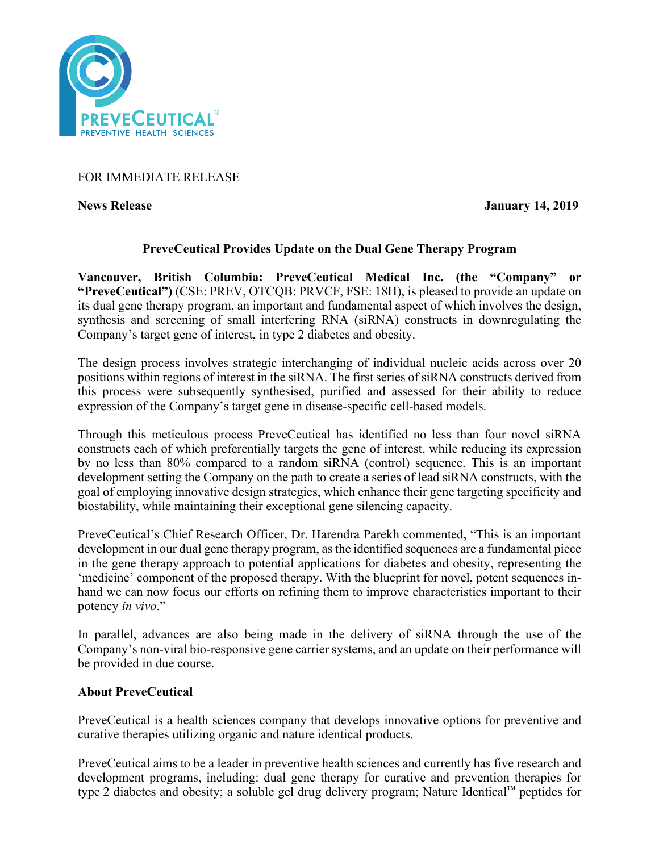

# FOR IMMEDIATE RELEASE

**News Release** January 14, 2019

## **PreveCeutical Provides Update on the Dual Gene Therapy Program**

**Vancouver, British Columbia: PreveCeutical Medical Inc. (the "Company" or "PreveCeutical")** (CSE: PREV, OTCQB: PRVCF, FSE: 18H), is pleased to provide an update on its dual gene therapy program, an important and fundamental aspect of which involves the design, synthesis and screening of small interfering RNA (siRNA) constructs in downregulating the Company's target gene of interest, in type 2 diabetes and obesity.

The design process involves strategic interchanging of individual nucleic acids across over 20 positions within regions of interest in the siRNA. The first series of siRNA constructs derived from this process were subsequently synthesised, purified and assessed for their ability to reduce expression of the Company's target gene in disease-specific cell-based models.

Through this meticulous process PreveCeutical has identified no less than four novel siRNA constructs each of which preferentially targets the gene of interest, while reducing its expression by no less than 80% compared to a random siRNA (control) sequence. This is an important development setting the Company on the path to create a series of lead siRNA constructs, with the goal of employing innovative design strategies, which enhance their gene targeting specificity and biostability, while maintaining their exceptional gene silencing capacity.

PreveCeutical's Chief Research Officer, Dr. Harendra Parekh commented, "This is an important development in our dual gene therapy program, as the identified sequences are a fundamental piece in the gene therapy approach to potential applications for diabetes and obesity, representing the 'medicine' component of the proposed therapy. With the blueprint for novel, potent sequences inhand we can now focus our efforts on refining them to improve characteristics important to their potency *in vivo*."

In parallel, advances are also being made in the delivery of siRNA through the use of the Company's non-viral bio-responsive gene carrier systems, and an update on their performance will be provided in due course.

## **About PreveCeutical**

PreveCeutical is a health sciences company that develops innovative options for preventive and curative therapies utilizing organic and nature identical products.

PreveCeutical aims to be a leader in preventive health sciences and currently has five research and development programs, including: dual gene therapy for curative and prevention therapies for type 2 diabetes and obesity; a soluble gel drug delivery program; Nature Identical™ peptides for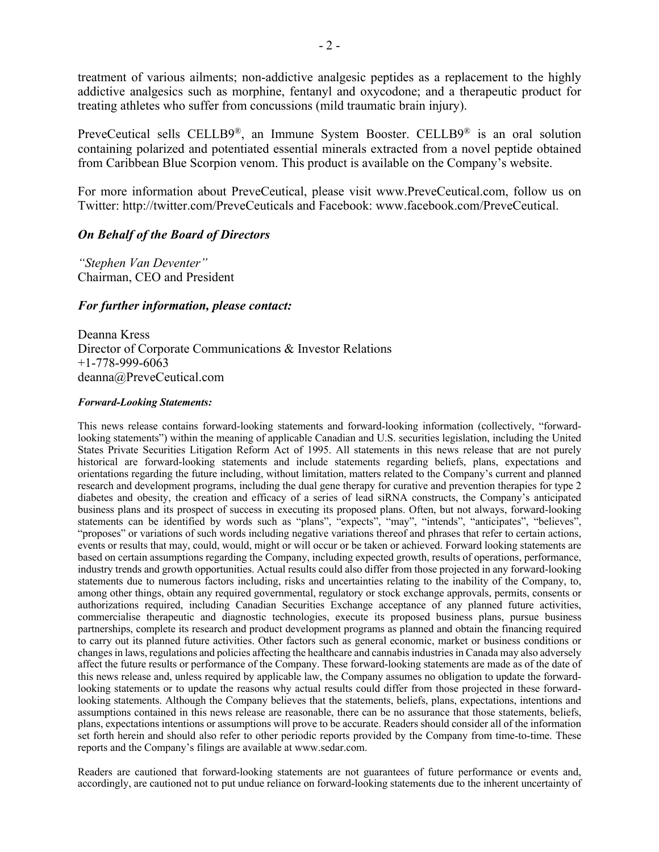treatment of various ailments; non-addictive analgesic peptides as a replacement to the highly addictive analgesics such as morphine, fentanyl and oxycodone; and a therapeutic product for treating athletes who suffer from concussions (mild traumatic brain injury).

PreveCeutical sells CELLB9®, an Immune System Booster. CELLB9® is an oral solution containing polarized and potentiated essential minerals extracted from a novel peptide obtained from Caribbean Blue Scorpion venom. This product is available on the Company's website.

For more information about PreveCeutical, please visit www.PreveCeutical.com, follow us on Twitter: http://twitter.com/PreveCeuticals and Facebook: www.facebook.com/PreveCeutical.

### *On Behalf of the Board of Directors*

*"Stephen Van Deventer"* Chairman, CEO and President

### *For further information, please contact:*

Deanna Kress Director of Corporate Communications & Investor Relations +1-778-999-6063 deanna@PreveCeutical.com

#### *Forward-Looking Statements:*

This news release contains forward-looking statements and forward-looking information (collectively, "forwardlooking statements") within the meaning of applicable Canadian and U.S. securities legislation, including the United States Private Securities Litigation Reform Act of 1995. All statements in this news release that are not purely historical are forward-looking statements and include statements regarding beliefs, plans, expectations and orientations regarding the future including, without limitation, matters related to the Company's current and planned research and development programs, including the dual gene therapy for curative and prevention therapies for type 2 diabetes and obesity, the creation and efficacy of a series of lead siRNA constructs, the Company's anticipated business plans and its prospect of success in executing its proposed plans. Often, but not always, forward-looking statements can be identified by words such as "plans", "expects", "may", "intends", "anticipates", "believes", "proposes" or variations of such words including negative variations thereof and phrases that refer to certain actions, events or results that may, could, would, might or will occur or be taken or achieved. Forward looking statements are based on certain assumptions regarding the Company, including expected growth, results of operations, performance, industry trends and growth opportunities. Actual results could also differ from those projected in any forward-looking statements due to numerous factors including, risks and uncertainties relating to the inability of the Company, to, among other things, obtain any required governmental, regulatory or stock exchange approvals, permits, consents or authorizations required, including Canadian Securities Exchange acceptance of any planned future activities, commercialise therapeutic and diagnostic technologies, execute its proposed business plans, pursue business partnerships, complete its research and product development programs as planned and obtain the financing required to carry out its planned future activities. Other factors such as general economic, market or business conditions or changes in laws, regulations and policies affecting the healthcare and cannabis industries in Canada may also adversely affect the future results or performance of the Company. These forward-looking statements are made as of the date of this news release and, unless required by applicable law, the Company assumes no obligation to update the forwardlooking statements or to update the reasons why actual results could differ from those projected in these forwardlooking statements. Although the Company believes that the statements, beliefs, plans, expectations, intentions and assumptions contained in this news release are reasonable, there can be no assurance that those statements, beliefs, plans, expectations intentions or assumptions will prove to be accurate. Readers should consider all of the information set forth herein and should also refer to other periodic reports provided by the Company from time-to-time. These reports and the Company's filings are available at www.sedar.com.

Readers are cautioned that forward-looking statements are not guarantees of future performance or events and, accordingly, are cautioned not to put undue reliance on forward-looking statements due to the inherent uncertainty of